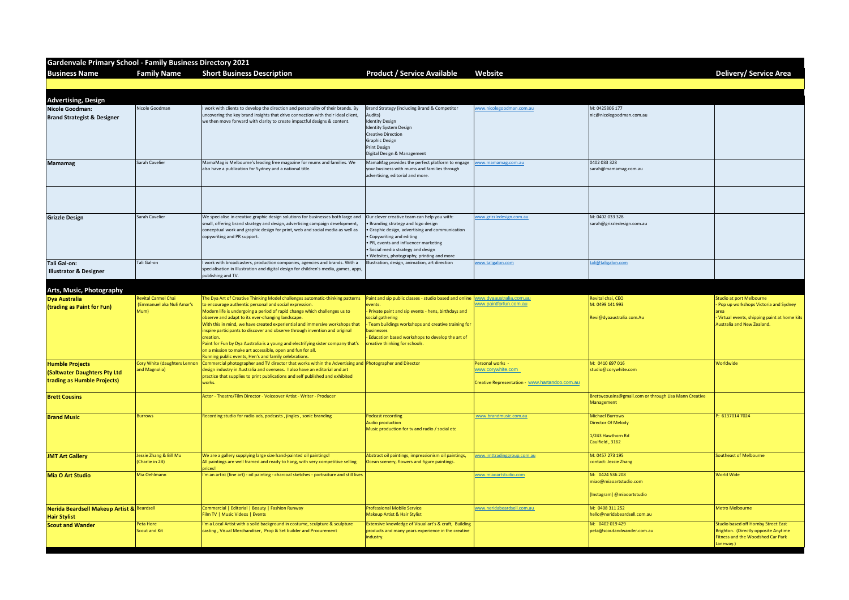| <b>Gardenvale Primary School - Family Business Directory 2021</b>  |                                           |                                                                                                                                                                                                                                                                                                                                                                                                                                                                                                                                                                                 |                                                                                                                                                                                                                                                                                             |                                                                     |                                                                                             |                                                                                                                                      |
|--------------------------------------------------------------------|-------------------------------------------|---------------------------------------------------------------------------------------------------------------------------------------------------------------------------------------------------------------------------------------------------------------------------------------------------------------------------------------------------------------------------------------------------------------------------------------------------------------------------------------------------------------------------------------------------------------------------------|---------------------------------------------------------------------------------------------------------------------------------------------------------------------------------------------------------------------------------------------------------------------------------------------|---------------------------------------------------------------------|---------------------------------------------------------------------------------------------|--------------------------------------------------------------------------------------------------------------------------------------|
| <b>Business Name</b>                                               | <b>Family Name</b>                        | <b>Short Business Description</b>                                                                                                                                                                                                                                                                                                                                                                                                                                                                                                                                               | <b>Product / Service Available</b>                                                                                                                                                                                                                                                          | <b>Website</b>                                                      |                                                                                             | <b>Delivery/ Service Area</b>                                                                                                        |
|                                                                    |                                           |                                                                                                                                                                                                                                                                                                                                                                                                                                                                                                                                                                                 |                                                                                                                                                                                                                                                                                             |                                                                     |                                                                                             |                                                                                                                                      |
| <b>Advertising, Design</b>                                         |                                           |                                                                                                                                                                                                                                                                                                                                                                                                                                                                                                                                                                                 |                                                                                                                                                                                                                                                                                             |                                                                     |                                                                                             |                                                                                                                                      |
| Nicole Goodman:                                                    | Nicole Goodman                            | work with clients to develop the direction and personality of their brands. By                                                                                                                                                                                                                                                                                                                                                                                                                                                                                                  | Brand Strategy (including Brand & Competitor                                                                                                                                                                                                                                                | www.nicolegoodman.com.au                                            | M: 0425806 177                                                                              |                                                                                                                                      |
| <b>Brand Strategist &amp; Designer</b>                             |                                           | uncovering the key brand insights that drive connection with their ideal client,<br>we then move forward with clarity to create impactful designs & content.                                                                                                                                                                                                                                                                                                                                                                                                                    | Audits)<br><b>Identity Design</b><br><b>Identity System Design</b><br><b>Creative Direction</b><br><b>Graphic Design</b><br><b>Print Design</b><br>Digital Design & Management                                                                                                              |                                                                     | nic@nicolegoodman.com.au                                                                    |                                                                                                                                      |
| Mamamag                                                            | Sarah Cavelier                            | MamaMag is Melbourne's leading free magazine for mums and families. We<br>also have a publication for Sydney and a national title.                                                                                                                                                                                                                                                                                                                                                                                                                                              | MamaMag provides the perfect platform to engage<br>your business with mums and families through<br>advertising, editorial and more.                                                                                                                                                         | www.mamamag.com.au                                                  | 0402 033 328<br>sarah@mamamag.com.au                                                        |                                                                                                                                      |
|                                                                    |                                           |                                                                                                                                                                                                                                                                                                                                                                                                                                                                                                                                                                                 |                                                                                                                                                                                                                                                                                             |                                                                     |                                                                                             |                                                                                                                                      |
| <b>Grizzle Design</b>                                              | Sarah Cavelier                            | We specialise in creative graphic design solutions for businesses both large and<br>small, offering brand strategy and design, advertising campaign development,<br>conceptual work and graphic design for print, web and social media as well as<br>copywriting and PR support.                                                                                                                                                                                                                                                                                                | Our clever creative team can help you with:<br>Branding strategy and logo design<br>Graphic design, advertising and communication<br>• Copywriting and editing<br>• PR, events and influencer marketing<br>• Social media strategy and design<br>. Websites, photography, printing and more | www.grizzledesign.com.au                                            | M: 0402 033 328<br>sarah@grizzledesign.com.au                                               |                                                                                                                                      |
| <b>Tali Gal-on:</b>                                                | Tali Gal-on                               | work with broadcasters, production companies, agencies and brands. With a                                                                                                                                                                                                                                                                                                                                                                                                                                                                                                       | Illustration, design, animation, art direction                                                                                                                                                                                                                                              | www.taligalon.com                                                   | ili@taligalon.com                                                                           |                                                                                                                                      |
| <b>Illustrator &amp; Designer</b>                                  |                                           | specialisation in Illustration and digital design for children's media, games, apps,<br>publishing and TV.                                                                                                                                                                                                                                                                                                                                                                                                                                                                      |                                                                                                                                                                                                                                                                                             |                                                                     |                                                                                             |                                                                                                                                      |
|                                                                    |                                           |                                                                                                                                                                                                                                                                                                                                                                                                                                                                                                                                                                                 |                                                                                                                                                                                                                                                                                             |                                                                     |                                                                                             |                                                                                                                                      |
| Arts, Music, Photography<br><b>Dya Australia</b>                   | <b>Revital Carmel Chai</b>                | The Dya Art of Creative Thinking Model challenges automatic-thinking patterns                                                                                                                                                                                                                                                                                                                                                                                                                                                                                                   | Paint and sip public classes - studio based and online www.dyaaustralia.com.au                                                                                                                                                                                                              |                                                                     | Revital chai, CEO                                                                           | <b>Studio at port Melbourne</b>                                                                                                      |
| (trading as Paint for Fun)                                         | (Emmanuel aka Nuli Amar's<br>Mum)         | to encourage authentic personal and social expression.<br>Modern life is undergoing a period of rapid change which challenges us to<br>observe and adapt to its ever-changing landscape.<br>With this in mind, we have created experiential and immersive workshops that<br>inspire participants to discover and observe through invention and original<br>creation.<br>Paint for Fun by Dya Australia is a young and electrifying sister company that's<br>on a mission to make art accessible, open and fun for all.<br>Running public events, Hen's and family celebrations. | events.<br>Private paint and sip events - hens, birthdays and<br>social gathering<br>Team buildings workshops and creative training for<br>businesses<br>Education based workshops to develop the art of<br>reative thinking for schools.                                                   | www.paintforfun.com.au                                              | M: 0499 141 993<br>Revi@dyaaustralia.com.Au                                                 | - Pop up workshops Victoria and Sydr<br>Virtual events, shipping paint at hon<br><b>Australia and New Zealand.</b>                   |
| <b>Humble Projects</b>                                             | Cory White (daughters Lennon              | Commercial photographer and TV director that works within the Advertising and Photographer and Director                                                                                                                                                                                                                                                                                                                                                                                                                                                                         |                                                                                                                                                                                                                                                                                             | Personal works -                                                    | M: 0410 697 016                                                                             | Worldwide                                                                                                                            |
| <b>(Saltwater Daughters Pty Ltd</b><br>trading as Humble Projects) | and Magnolia)                             | design industry in Australia and overseas. I also have an editorial and art<br>practice that supplies to print publications and self published and exhibited<br>works.                                                                                                                                                                                                                                                                                                                                                                                                          |                                                                                                                                                                                                                                                                                             | www.corywhite.com<br>Creative Representation - www.hartandco.com.au | studio@corywhite.com                                                                        |                                                                                                                                      |
| <b>Brett Cousins</b>                                               |                                           | Actor - Theatre/Film Director - Voiceover Artist - Writer - Producer                                                                                                                                                                                                                                                                                                                                                                                                                                                                                                            |                                                                                                                                                                                                                                                                                             |                                                                     | Brettwcousins@gmail.com or through Lisa Mann Creative<br>Management                         |                                                                                                                                      |
| <b>Brand Music</b>                                                 | <b>Burrows</b>                            | Recording studio for radio ads, podcasts, jingles, sonic branding                                                                                                                                                                                                                                                                                                                                                                                                                                                                                                               | <b>Podcast recording</b><br><b>Audio production</b><br>Music production for tv and radio / social etc                                                                                                                                                                                       | www.brandmusic.com.au                                               | <b>Michael Burrows</b><br><b>Director Of Melody</b><br>1/243 Hawthorn Rd<br>Caulfield, 3162 | P: 6137014 7024                                                                                                                      |
| <b>JMT Art Gallery</b>                                             | Jessie Zhang & Bill Mu<br>(Charlie in 2B) | We are a gallery supplying large size hand-painted oil paintings!<br>All paintings are well framed and ready to hang, with very competitive selling<br>prices!                                                                                                                                                                                                                                                                                                                                                                                                                  | Abstract oil paintings, impressionism oil paintings,<br>Ocean scenery, flowers and figure paintings.                                                                                                                                                                                        | www.jmttradinggroup.com.au                                          | M: 0457 273 195<br>contact: Jessie Zhang                                                    | <b>Southeast of Melbourne</b>                                                                                                        |
| <b>Mia O Art Studio</b>                                            | Mia Oehlmann                              | I'm an artist (fine art) - oil painting - charcoal sketches - portraiture and still lives                                                                                                                                                                                                                                                                                                                                                                                                                                                                                       |                                                                                                                                                                                                                                                                                             | vww.miaoartstudio.com                                               | M: 0424 536 208<br>miao@miaoartstudio.com<br>[Instagram] @miaoartstudio                     | <b>World Wide</b>                                                                                                                    |
| Nerida Beardsell Makeup Artist & Beardsell<br><b>Hair Stylist</b>  |                                           | Commercial   Editorial   Beauty   Fashion Runway<br>Film TV   Music Videos   Events                                                                                                                                                                                                                                                                                                                                                                                                                                                                                             | <b>Professional Mobile Service</b><br>Makeup Artist & Hair Stylist                                                                                                                                                                                                                          | www.neridabeardsell.com.au                                          | M: 0408 311 252<br>hello@neridabeardsell.com.au                                             | <b>Metro Melbourne</b>                                                                                                               |
| <b>Scout and Wander</b>                                            | Peta Hore<br><b>Scout and Kit</b>         | I'm a Local Artist with a solid background in costume, sculpture & sculpture<br>casting, Visual Merchandiser, Prop & Set builder and Procurement                                                                                                                                                                                                                                                                                                                                                                                                                                | Extensive knowledge of Visual art's & craft, Building<br>products and many years experience in the creative<br>industry.                                                                                                                                                                    |                                                                     | M: 0402 019 429<br>peta@scoutandwander.com.au                                               | <b>Studio based off Hornby Street East</b><br>Brighton. (Directly opposite Anytime<br>Fitness and the Woodshed Car Park<br>Laneway.) |

|                               | Delivery/ Service Area                                                      |
|-------------------------------|-----------------------------------------------------------------------------|
|                               |                                                                             |
| au                            |                                                                             |
|                               |                                                                             |
|                               |                                                                             |
|                               |                                                                             |
|                               |                                                                             |
|                               |                                                                             |
|                               |                                                                             |
| au                            |                                                                             |
|                               |                                                                             |
|                               |                                                                             |
|                               |                                                                             |
|                               | <b>Studio at port Melbourne</b>                                             |
|                               | - Pop up workshops Victoria and Sydney<br>area                              |
| J                             | - Virtual events, shipping paint at home kits<br>Australia and New Zealand. |
|                               |                                                                             |
|                               |                                                                             |
|                               | Worldwide                                                                   |
|                               |                                                                             |
| or through Lisa Mann Creative |                                                                             |
|                               | P: 6137014 7024                                                             |
|                               |                                                                             |
|                               | <b>Southeast of Melbourne</b>                                               |
|                               |                                                                             |
|                               | <b>World Wide</b>                                                           |
| lio                           |                                                                             |
| n.au                          | <b>Metro Melbourne</b>                                                      |
| m.au                          | Studio based off Hornby Street East<br>Brighton. (Directly opposite Anytime |
|                               | Fitness and the Woodshed Car Park<br>Laneway.)                              |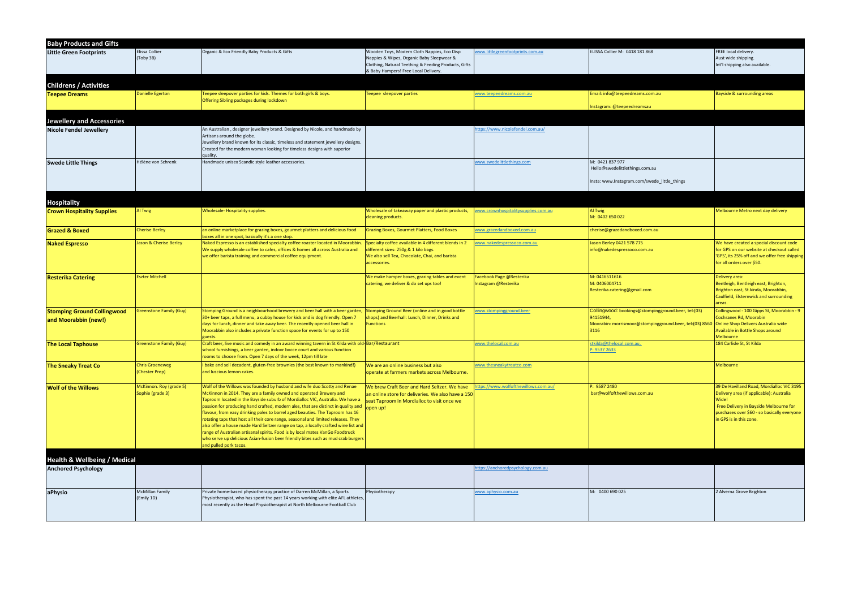| <b>Baby Products and Gifts</b>                                     |                                             |                                                                                                                                                                                                                                                                                                                                                                                                                                                                                                                                                                                                                                                                                                                                                                                 |                                                                                                                                                                                          |                                                  |                                                                                                                                                                         |                                                                                                                                                                                                                    |
|--------------------------------------------------------------------|---------------------------------------------|---------------------------------------------------------------------------------------------------------------------------------------------------------------------------------------------------------------------------------------------------------------------------------------------------------------------------------------------------------------------------------------------------------------------------------------------------------------------------------------------------------------------------------------------------------------------------------------------------------------------------------------------------------------------------------------------------------------------------------------------------------------------------------|------------------------------------------------------------------------------------------------------------------------------------------------------------------------------------------|--------------------------------------------------|-------------------------------------------------------------------------------------------------------------------------------------------------------------------------|--------------------------------------------------------------------------------------------------------------------------------------------------------------------------------------------------------------------|
| <b>Little Green Footprints</b>                                     | Elissa Collier<br>(Toby 3B)                 | Organic & Eco Friendly Baby Products & Gifts                                                                                                                                                                                                                                                                                                                                                                                                                                                                                                                                                                                                                                                                                                                                    | Wooden Toys, Modern Cloth Nappies, Eco Disp<br>Nappies & Wipes, Organic Baby Sleepwear &<br>Clothing, Natural Teething & Feeding Products, Gifts<br>& Baby Hampers! Free Local Delivery. | www.littlegreenfootprints.com.au                 | ELISSA Collier M: 0418 181 868                                                                                                                                          | FREE local delivery.<br>Aust wide shipping.<br>Int'l shipping also available.                                                                                                                                      |
| <b>Childrens / Activities</b>                                      |                                             |                                                                                                                                                                                                                                                                                                                                                                                                                                                                                                                                                                                                                                                                                                                                                                                 |                                                                                                                                                                                          |                                                  |                                                                                                                                                                         |                                                                                                                                                                                                                    |
| <b>Teepee Dreams</b>                                               | <b>Danielle Egerton</b>                     | Teepee sleepover parties for kids. Themes for both girls & boys.<br>Offering Sibling packages during lockdown                                                                                                                                                                                                                                                                                                                                                                                                                                                                                                                                                                                                                                                                   | Feepee sleepover parties                                                                                                                                                                 | <u>www.teepeedreams.com.au</u>                   | Email: info@teepeedreams.com.au<br>nstagram: @teepeedreamsau                                                                                                            | Bayside & surrounding areas                                                                                                                                                                                        |
|                                                                    |                                             |                                                                                                                                                                                                                                                                                                                                                                                                                                                                                                                                                                                                                                                                                                                                                                                 |                                                                                                                                                                                          |                                                  |                                                                                                                                                                         |                                                                                                                                                                                                                    |
| <b>Jewellery and Accessories</b><br><b>Nicole Fendel Jewellery</b> |                                             | An Australian, designer jewellery brand. Designed by Nicole, and handmade by<br>Artisans around the globe.<br>Jewellery brand known for its classic, timeless and statement jewellery designs.<br>Created for the modern woman looking for timeless designs with superior<br>quality.                                                                                                                                                                                                                                                                                                                                                                                                                                                                                           |                                                                                                                                                                                          | ttps://www.nicolefendel.com.au/                  |                                                                                                                                                                         |                                                                                                                                                                                                                    |
| <b>Swede Little Things</b>                                         | Hélène von Schrenk                          | Handmade unisex Scandic style leather accessories.                                                                                                                                                                                                                                                                                                                                                                                                                                                                                                                                                                                                                                                                                                                              |                                                                                                                                                                                          | www.swedelittlethings.com                        | M: 0421 837 977<br>Hello@swedelittlethings.com.au<br>Insta: www.Instagram.com/swede_little_things                                                                       |                                                                                                                                                                                                                    |
|                                                                    |                                             |                                                                                                                                                                                                                                                                                                                                                                                                                                                                                                                                                                                                                                                                                                                                                                                 |                                                                                                                                                                                          |                                                  |                                                                                                                                                                         |                                                                                                                                                                                                                    |
| <b>Hospitality</b><br><b>Crown Hospitality Supplies</b>            | Al Twig                                     | Wholesale-Hospitality supplies.                                                                                                                                                                                                                                                                                                                                                                                                                                                                                                                                                                                                                                                                                                                                                 | Wholesale of takeaway paper and plastic products,<br>cleaning products.                                                                                                                  | www.crownhospitalitysupplies.com.au              | Al Twig<br>M: 0402 650 022                                                                                                                                              | Melbourne Metro next day delivery                                                                                                                                                                                  |
| <b>Grazed &amp; Boxed</b>                                          | <b>Cherise Berley</b>                       | an online marketplace for grazing boxes, gourmet platters and delicious food<br>boxes all in one spot, basically it's a one stop.                                                                                                                                                                                                                                                                                                                                                                                                                                                                                                                                                                                                                                               | <b>Grazing Boxes, Gourmet Platters, Food Boxes</b>                                                                                                                                       | www.grazedandboxed.com.au                        | cherise@grazedandboxed.com.au                                                                                                                                           |                                                                                                                                                                                                                    |
| <b>Naked Espresso</b>                                              | Jason & Cherise Berley                      | Naked Espresso is an established specialty coffee roaster located in Moorabbin.<br>We supply wholesale coffee to cafes, offices & homes all across Australia and<br>we offer barista training and commercial coffee equipment.                                                                                                                                                                                                                                                                                                                                                                                                                                                                                                                                                  | Specialty coffee available in 4 different blends in 2<br>different sizes: 250g & 1 kilo bags.<br>We also sell Tea, Chocolate, Chai, and barista<br>accessories.                          | www.nakedespressoco.com.au                       | Jason Berley 0421 578 775<br>info@nakedespressoco.com.au                                                                                                                | We have created a special discount code<br>for GPS on our website at checkout called<br>'GPS', its 25% off and we offer free shipping<br>for all orders over \$50.                                                 |
| <b>Resterika Catering</b>                                          | <b>Eszter Mitchell</b>                      |                                                                                                                                                                                                                                                                                                                                                                                                                                                                                                                                                                                                                                                                                                                                                                                 | We make hamper boxes, grazing tables and event<br>catering, we deliver & do set ups too!                                                                                                 | Facebook Page @Resterika<br>Instagram @Resterika | M: 0416511616<br>M: 0406004711<br>Resterika.catering@gmail.com                                                                                                          | Delivery area:<br>Bentleigh, Bentleigh east, Brighton,<br>Brighton east, St.kinda, Moorabbin,<br>Caulfield, Elsternwick and surrounding<br>areas.                                                                  |
| <b>Stomping Ground Collingwood</b><br>and Moorabbin (new!)         | <b>Sreenstone Family (Guy)</b>              | Stomping Ground is a neighbourhood brewery and beer hall with a beer garden,<br>30+ beer taps, a full menu, a cubby house for kids and is dog friendly. Open 7<br>days for lunch, dinner and take away beer. The recently opened beer hall in<br>Moorabbin also includes a private function space for events for up to 150<br>guests.                                                                                                                                                                                                                                                                                                                                                                                                                                           | Stomping Ground Beer (online and in good bottle<br>shops) and Beerhall: Lunch, Dinner, Drinks and<br><sup>-</sup> unctions                                                               | www.stompingground.beer                          | Collingwood: bookings@stompingground.beer, tel:(03)<br>94151944,<br>Moorabin: morrismoor@stompingground.beer, tel:(03) 8560 Online Shop Delivers Australia wide<br>3116 | Collingwood - 100 Gipps St, Moorabbin - 9<br>Cochranes Rd, Moorabin<br>Available in Bottle Shops around<br>Melbourne                                                                                               |
| <b>The Local Taphouse</b>                                          | <b>Greenstone Family (Guy)</b>              | Craft beer, live music and comedy in an award winning tavern in St Kilda with old-Bar/Restaurant<br>school furnishings, a beer garden, indoor bocce court and various function<br>rooms to choose from. Open 7 days of the week, 12pm till late                                                                                                                                                                                                                                                                                                                                                                                                                                                                                                                                 |                                                                                                                                                                                          | www.thelocal.com.au                              | stkilda@thelocal.com.au,<br>P: 9537 2633                                                                                                                                | 184 Carlisle St, St Kilda                                                                                                                                                                                          |
| <b>The Sneaky Treat Co</b>                                         | <b>Chris Groeneweg</b><br>(Chester Prep)    | I bake and sell decadent, gluten-free brownies (the best known to mankind!)<br>and luscious lemon cakes.                                                                                                                                                                                                                                                                                                                                                                                                                                                                                                                                                                                                                                                                        | We are an online business but also<br>operate at farmers markets across Melbourne.                                                                                                       | www.thesneakytreatco.com                         |                                                                                                                                                                         | <b>Melbourne</b>                                                                                                                                                                                                   |
| <b>Wolf of the Willows</b>                                         | McKinnon. Roy (grade 5)<br>Sophie (grade 3) | Wolf of the Willows was founded by husband and wife duo Scotty and Renae<br>McKinnon in 2014. They are a family owned and operated Brewery and<br>Taproom located in the Bayside suburb of Mordialloc VIC, Australia. We have a<br>passion for producing hand crafted, modern ales, that are distinct in quality and<br>flavour, from easy drinking pales to barrel aged beauties. The Taproom has 16<br>rotating taps that host all their core range, seasonal and limited releases. They<br>also offer a house made Hard Seltzer range on tap, a locally crafted wine list and<br>range of Australian artisanal spirits. Food is by local mates VanGo Foodtruck<br>who serve up delicious Asian-fusion beer friendly bites such as mud crab burgers<br>and pulled pork tacos. | We brew Craft Beer and Hard Seltzer. We have<br>an online store for deliveries. We also have a 150<br>seat Taproom in Mordialloc to visit once we<br>open up!                            | tps://www.wolfofthewillows.com.au/               | P: 9587 2480<br>bar@wolfofthewillows.com.au                                                                                                                             | 39 De Havilland Road, Mordialloc VIC 3195<br>Delivery area (if applicable): Australia<br>Wide!<br>Free Delivery in Bayside Melbourne for<br>purchases over \$60 - so basically everyone<br>in GPS is in this zone. |
| <b>Health &amp; Wellbeing / Medical</b>                            |                                             |                                                                                                                                                                                                                                                                                                                                                                                                                                                                                                                                                                                                                                                                                                                                                                                 |                                                                                                                                                                                          |                                                  |                                                                                                                                                                         |                                                                                                                                                                                                                    |
| <b>Anchored Psychology</b>                                         |                                             |                                                                                                                                                                                                                                                                                                                                                                                                                                                                                                                                                                                                                                                                                                                                                                                 |                                                                                                                                                                                          | ttps://anchoredpsychology.com.au                 |                                                                                                                                                                         |                                                                                                                                                                                                                    |
| aPhysio                                                            | <b>McMillan Family</b><br>(Emily 1D)        | Private home-based physiotherapy practice of Darren McMillan, a Sports<br>Physiotherapist, who has spent the past 14 years working with elite AFL athletes,<br>most recently as the Head Physiotherapist at North Melbourne Football Club                                                                                                                                                                                                                                                                                                                                                                                                                                                                                                                                       | Physiotherapy                                                                                                                                                                            | www.aphysio.com.au                               | M: 0400 690 025                                                                                                                                                         | 2 Alverna Grove Brighton                                                                                                                                                                                           |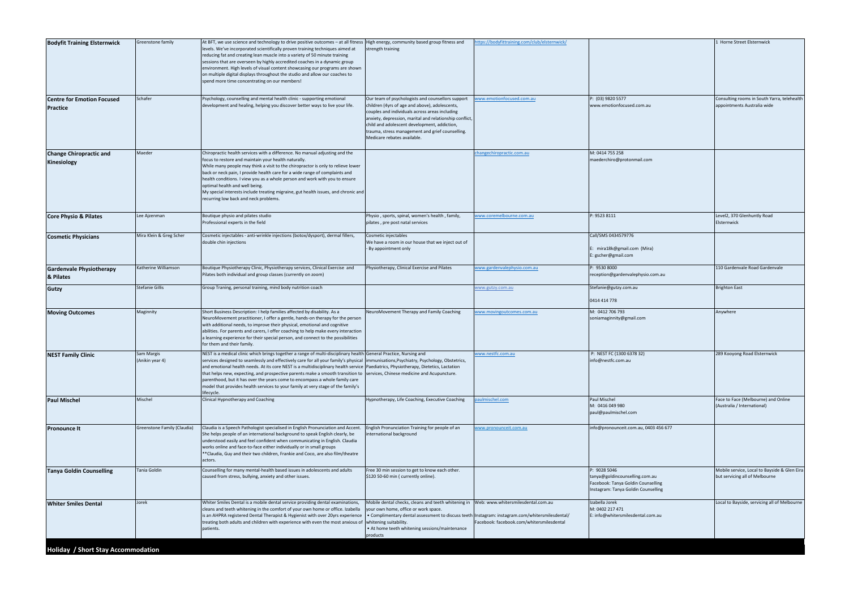| <b>Bodyfit Training Elsternwick</b>                  | Greenstone family             | At BFT, we use science and technology to drive positive outcomes - at all fitness                                                                                                                                                                                                                                                                                                                                                                                                                                                                                                                                                                                                                                   | High energy, community based group fitness and                                                                                                                                                                                                                                                                                                      | ttps://bodyfittraining.com/club/elsternwick/ |                                                                                                                             | 1 Horne Street Elsternwick                                                     |
|------------------------------------------------------|-------------------------------|---------------------------------------------------------------------------------------------------------------------------------------------------------------------------------------------------------------------------------------------------------------------------------------------------------------------------------------------------------------------------------------------------------------------------------------------------------------------------------------------------------------------------------------------------------------------------------------------------------------------------------------------------------------------------------------------------------------------|-----------------------------------------------------------------------------------------------------------------------------------------------------------------------------------------------------------------------------------------------------------------------------------------------------------------------------------------------------|----------------------------------------------|-----------------------------------------------------------------------------------------------------------------------------|--------------------------------------------------------------------------------|
|                                                      |                               | levels. We've incorporated scientifically proven training techniques aimed at<br>reducing fat and creating lean muscle into a variety of 50 minute training<br>sessions that are overseen by highly accredited coaches in a dynamic group<br>environment. High levels of visual content showcasing our programs are shown<br>on multiple digital displays throughout the studio and allow our coaches to<br>spend more time concentrating on our members!                                                                                                                                                                                                                                                           | strength training                                                                                                                                                                                                                                                                                                                                   |                                              |                                                                                                                             |                                                                                |
| <b>Centre for Emotion Focused</b><br><b>Practice</b> | Schafer                       | Psychology, counselling and mental health clinic - supporting emotional<br>development and healing, helping you discover better ways to live your life.                                                                                                                                                                                                                                                                                                                                                                                                                                                                                                                                                             | Our team of psychologists and counsellors support<br>children (4yrs of age and above), adolescents,<br>couples and individuals across areas including<br>anxiety, depression, marital and relationship conflict,<br>child and adolescent development, addiction,<br>trauma, stress management and grief counselling.<br>Medicare rebates available. | ww.emotionfocused.com.au                     | P: (03) 9820 5577<br>www.emotionfocused.com.au                                                                              | Consulting rooms in South Yarra, telehealth<br>appointments Australia wide     |
| <b>Change Chiropractic and</b><br>Kinesiology        | Maeder                        | Chiropractic health services with a difference. No manual adjusting and the<br>focus to restore and maintain your health naturally.<br>While many people may think a visit to the chiropractor is only to relieve lower<br>back or neck pain, I provide health care for a wide range of complaints and<br>health conditions. I view you as a whole person and work with you to ensure<br>optimal health and well being.<br>My special interests include treating migraine, gut health issues, and chronic and<br>recurring low back and neck problems.                                                                                                                                                              |                                                                                                                                                                                                                                                                                                                                                     | hangechiropractic.com.au                     | M: 0414 755 258<br>maederchiro@protonmail.com                                                                               |                                                                                |
| <b>Core Physio &amp; Pilates</b>                     | Lee Ajzenman                  | Boutique physio and pilates studio<br>Professional experts in the field                                                                                                                                                                                                                                                                                                                                                                                                                                                                                                                                                                                                                                             | Physio, sports, spinal, women's health, family,<br>pilates, pre post natal services                                                                                                                                                                                                                                                                 | vww.coremelbourne.com.au                     | P: 9523 8111                                                                                                                | Level2, 370 Glenhuntly Road<br>Elsternwick                                     |
| <b>Cosmetic Physicians</b>                           | Mira Klein & Greg Scher       | Cosmetic injectables - anti-wrinkle injections (botox/dysport), dermal fillers,<br>double chin injections                                                                                                                                                                                                                                                                                                                                                                                                                                                                                                                                                                                                           | Cosmetic injectables<br>We have a room in our house that we inject out of<br>By appointment only                                                                                                                                                                                                                                                    |                                              | Call/SMS 0434579776<br>E: mira18k@gmail.com (Mira)<br>:: gscher@gmail.com                                                   |                                                                                |
| <b>Gardenvale Physiotherapy</b><br>& Pilates         | Katherine Williamson          | Boutique Physiotherapy Clinic, Physiotherapy services, Clinical Exercise and<br>Pilates both individual and group classes (currently on zoom)                                                                                                                                                                                                                                                                                                                                                                                                                                                                                                                                                                       | Physiotherapy, Clinical Exercise and Pilates                                                                                                                                                                                                                                                                                                        | vww.gardenvalephysio.com.au                  | P: 9530 8000<br>reception@gardenvalephysio.com.au                                                                           | 110 Gardenvale Road Gardenvale                                                 |
| <b>Gutzy</b>                                         | <b>Stefanie Gillis</b>        | Group Traning, personal training, mind body nutrition coach                                                                                                                                                                                                                                                                                                                                                                                                                                                                                                                                                                                                                                                         |                                                                                                                                                                                                                                                                                                                                                     | vww.gutzy.com.au                             | Stefanie@gutzy.com.au<br>0414 414 778                                                                                       | <b>Brighton East</b>                                                           |
| <b>Moving Outcomes</b>                               | Maginnity                     | Short Business Description: I help families affected by disability. As a<br>NeuroMovement practitioner, I offer a gentle, hands-on therapy for the person<br>with additional needs, to improve their physical, emotional and cognitive<br>abilities. For parents and carers, I offer coaching to help make every interaction<br>a learning experience for their special person, and connect to the possibilities<br>for them and their family.                                                                                                                                                                                                                                                                      | NeuroMovement Therapy and Family Coaching                                                                                                                                                                                                                                                                                                           | www.movingoutcomes.com.au                    | M: 0412 706 793<br>soniamaginnity@gmail.com                                                                                 | Anywhere                                                                       |
| <b>NEST Family Clinic</b>                            | Sam Margis<br>(Anikin year 4) | NEST is a medical clinic which brings together a range of multi-disciplinary health General Practice, Nursing and<br>services designed to seamlessly and effectively care for all your family's physical limmunisations, Psychiatry, Psychology, Obstetrics,<br>and emotional health needs. At its core NEST is a multidisciplinary health service  Paediatrics, Physiotherapy, Dietetics, Lactation<br>that helps new, expecting, and prospective parents make a smooth transition to services, Chinese medicine and Acupuncture.<br>parenthood, but it has over the years come to encompass a whole family care<br>model that provides health services to your family at very stage of the family's<br>lifecycle. |                                                                                                                                                                                                                                                                                                                                                     | vww.nestfc.com.au                            | P: NEST FC (1300 6378 32)<br>info@nestfc.com.au                                                                             | 289 Kooyong Road Elsternwick                                                   |
| <b>Paul Mischel</b>                                  | Mischel                       | Clinical Hypnotherapy and Coaching                                                                                                                                                                                                                                                                                                                                                                                                                                                                                                                                                                                                                                                                                  | Hypnotherapy, Life Coaching, Executive Coaching                                                                                                                                                                                                                                                                                                     | aulmischel.com                               | Paul Mischel<br>M: 0416 049 980<br>paul@paulmischel.com                                                                     | Face to Face (Melbourne) and Online<br>(Australia / International)             |
| <b>Pronounce It</b>                                  | Greenstone Family (Claudia)   | Claudia is a Speech Pathologist specialised in English Pronunciation and Accent.<br>She helps people of an international background to speak English clearly, be<br>understood easily and feel confident when communicating in English. Claudia<br>works online and face-to-face either individually or in small groups<br>**Claudia, Guy and their two children, Frankie and Coco, are also film/theatre<br>actors.                                                                                                                                                                                                                                                                                                | English Pronunciation Training for people of an<br>nternational background                                                                                                                                                                                                                                                                          | www.pronounceit.com.au                       | info@pronounceit.com.au, 0403 456 677                                                                                       |                                                                                |
| <b>Tanya Goldin Counselling</b>                      | Tania Goldin                  | Counselling for many mental-health based issues in adolescents and adults<br>caused from stress, bullying, anxiety and other issues.                                                                                                                                                                                                                                                                                                                                                                                                                                                                                                                                                                                | Free 30 min session to get to know each other.<br>\$120 50-60 min ( currently online).                                                                                                                                                                                                                                                              |                                              | P: 9028 5046<br>tanya@goldincounselling.com.au<br>Facebook: Tanya Goldin Counselling<br>Instagram: Tanya Goldin Counselling | Mobile service, Local to Bayside & Glen Eira<br>but servicing all of Melbourne |
| <b>Whiter Smiles Dental</b>                          | Jorek                         | Whiter Smiles Dental is a mobile dental service providing dental examinations,<br>cleans and teeth whitening in the comfort of your own home or office. Izabella<br>is an AHPRA registered Dental Therapist & Hygienist with over 20yrs experience<br>treating both adults and children with experience with even the most anxious of<br>patients.                                                                                                                                                                                                                                                                                                                                                                  | Mobile dental checks, cleans and teeth whitening in  Web: www.whitersmilesdental.com.au<br>your own home, office or work space.<br>• Complimentary dental assessment to discuss teeth Instagram: instagram.com/whitersmilesdental/<br>whitening suitability.<br>• At home teeth whitening sessions/maintenance<br>products                          | Facebook: facebook.com/whitersmilesdental    | Izabella Jorek<br>M: 0402 217 471<br>E: info@whitersmilesdental.com.au                                                      | Local to Bayside, servicing all of Melbourne                                   |
|                                                      |                               |                                                                                                                                                                                                                                                                                                                                                                                                                                                                                                                                                                                                                                                                                                                     |                                                                                                                                                                                                                                                                                                                                                     |                                              |                                                                                                                             |                                                                                |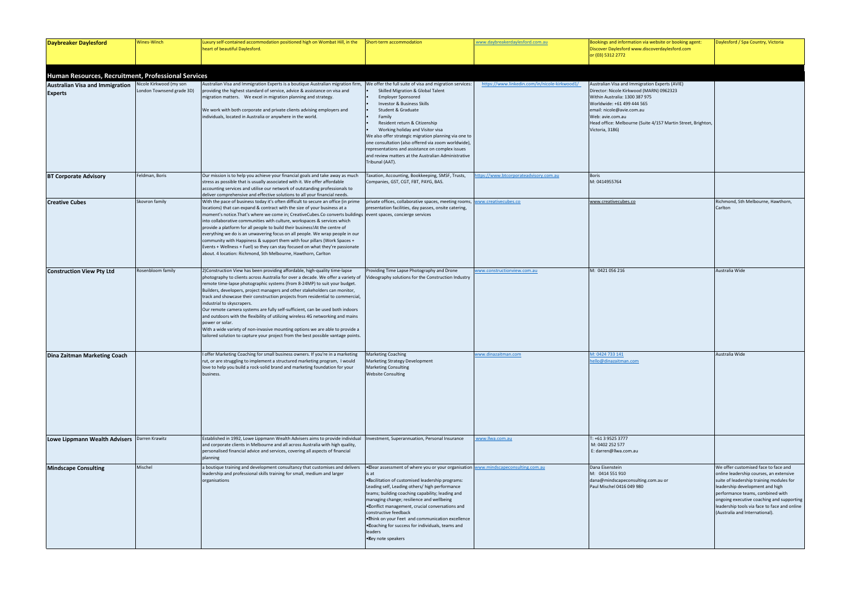| <b>Daybreaker Daylesford</b>                                                                                    | Wines-Winch                                          | Luxury self-contained accommodation positioned high on Wombat Hill, in the<br>heart of beautiful Daylesford.                                                                                                                                                                                                                                                                                                                                                                                                                                                                                                                                                                                                                                                                                          | Short-term accommodation                                                                                                                                                                                                                                                                                                                                                                                                                                                                       | www.daybreakerdaylesford.com.au               | Bookings and information via website or booking agent:<br>Discover Daylesford www.discoverdaylesford.com<br>or (03) 5312 2772                                                                                                                                                                  | Daylesford / Spa Country, Victoria                                                                                                                                                                                                                                                                                     |
|-----------------------------------------------------------------------------------------------------------------|------------------------------------------------------|-------------------------------------------------------------------------------------------------------------------------------------------------------------------------------------------------------------------------------------------------------------------------------------------------------------------------------------------------------------------------------------------------------------------------------------------------------------------------------------------------------------------------------------------------------------------------------------------------------------------------------------------------------------------------------------------------------------------------------------------------------------------------------------------------------|------------------------------------------------------------------------------------------------------------------------------------------------------------------------------------------------------------------------------------------------------------------------------------------------------------------------------------------------------------------------------------------------------------------------------------------------------------------------------------------------|-----------------------------------------------|------------------------------------------------------------------------------------------------------------------------------------------------------------------------------------------------------------------------------------------------------------------------------------------------|------------------------------------------------------------------------------------------------------------------------------------------------------------------------------------------------------------------------------------------------------------------------------------------------------------------------|
|                                                                                                                 |                                                      |                                                                                                                                                                                                                                                                                                                                                                                                                                                                                                                                                                                                                                                                                                                                                                                                       |                                                                                                                                                                                                                                                                                                                                                                                                                                                                                                |                                               |                                                                                                                                                                                                                                                                                                |                                                                                                                                                                                                                                                                                                                        |
| Human Resources, Recruitment, Professional Services<br><b>Australian Visa and Immigration</b><br><b>Experts</b> | Nicole Kirkwood (my son<br>London Townsend grade 3D) | Australian Visa and Immigration Experts is a boutique Australian migration firm, We offer the full suite of visa and migration services:<br>providing the highest standard of service, advice & assistance on visa and<br>migration matters. We excel in migration planning and strategy.<br>We work with both corporate and private clients advising employers and<br>individuals, located in Australia or anywhere in the world.                                                                                                                                                                                                                                                                                                                                                                    | Skilled Migration & Global Talent<br><b>Employer Sponsored</b><br>Investor & Business Skills<br>Student & Graduate<br>Family<br>Resident return & Citizenship<br>Working holiday and Visitor visa<br>We also offer strategic migration planning via one to<br>one consultation (also offered via zoom worldwide),<br>representations and assistance on complex issues<br>and review matters at the Australian Administrative<br>Tribunal (AAT).                                                | https://www.linkedin.com/in/nicole-kirkwood1/ | Australian Visa and Immigration Experts (AVIE)<br>Director: Nicole Kirkwood (MARN) 0962323<br>Within Australia: 1300 387 975<br>Worldwide: +61 499 444 565<br>email: nicole@avie.com.au<br>Web: avie.com.au<br>Head office: Melbourne (Suite 4/157 Martin Street, Brighton,<br>Victoria, 3186) |                                                                                                                                                                                                                                                                                                                        |
| <b>BT Corporate Advisory</b>                                                                                    | Feldman, Boris                                       | Our mission is to help you achieve your financial goals and take away as much<br>stress as possible that is usually associated with it. We offer affordable<br>accounting services and utilise our network of outstanding professionals to<br>deliver comprehensive and effective solutions to all your financial needs.                                                                                                                                                                                                                                                                                                                                                                                                                                                                              | Taxation, Accounting, Bookkeeping, SMSF, Trusts,<br>Companies, GST, CGT, FBT, PAYG, BAS.                                                                                                                                                                                                                                                                                                                                                                                                       | ttps://www.btcorporateadvisory.com.au         | <b>Boris</b><br>M: 0414955764                                                                                                                                                                                                                                                                  |                                                                                                                                                                                                                                                                                                                        |
| <b>Creative Cubes</b>                                                                                           | Skovron family                                       | With the pace of business today it's often difficult to secure an office (in prime<br>locations) that can expand & contract with the size of your business at a<br>moment's notice. That's where we come in; CreativeCubes. Co converts buildings   event spaces, concierge services<br>into collaborative communities with culture, workspaces & services which<br>provide a platform for all people to build their business! At the centre of<br>everything we do is an unwavering focus on all people. We wrap people in our<br>community with Happiness & support them with four pillars (Work Spaces +<br>Events + Wellness + Fuel) so they can stay focused on what they're passionate<br>about. 4 location: Richmond, Sth Melbourne, Hawthorn, Carlton                                         | private offices, collaborative spaces, meeting rooms,<br>presentation facilities, day passes, onsite catering,                                                                                                                                                                                                                                                                                                                                                                                 | ww.creativecubes.co                           | www.creativecubes.co                                                                                                                                                                                                                                                                           | Richmond, Sth Melbourne, Hawthorn,<br>Carlton                                                                                                                                                                                                                                                                          |
| <b>Construction View Pty Ltd</b>                                                                                | Rosenbloom family                                    | 2)Construction View has been providing affordable, high-quality time-lapse<br>photography to clients across Australia for over a decade. We offer a variety of<br>remote time-lapse photographic systems (from 8-24MP) to suit your budget.<br>Builders, developers, project managers and other stakeholders can monitor,<br>track and showcase their construction projects from residential to commercial,<br>industrial to skyscrapers.<br>Our remote camera systems are fully self-sufficient, can be used both indoors<br>and outdoors with the flexibility of utilizing wireless 4G networking and mains<br>power or solar.<br>With a wide variety of non-invasive mounting options we are able to provide a<br>tailored solution to capture your project from the best possible vantage points. | Providing Time Lapse Photography and Drone<br>Videography solutions for the Construction Industry                                                                                                                                                                                                                                                                                                                                                                                              | ww.constructionview.com.au                    | M: 0421 056 216                                                                                                                                                                                                                                                                                | Australia Wide                                                                                                                                                                                                                                                                                                         |
| Dina Zaitman Marketing Coach                                                                                    |                                                      | I offer Marketing Coaching for small business owners. If you're in a marketing<br>rut, or are struggling to implement a structured marketing program, I would<br>love to help you build a rock-solid brand and marketing foundation for your<br>business.                                                                                                                                                                                                                                                                                                                                                                                                                                                                                                                                             | <b>Marketing Coaching</b><br><b>Marketing Strategy Development</b><br><b>Marketing Consulting</b><br><b>Website Consulting</b>                                                                                                                                                                                                                                                                                                                                                                 | www.dinazaitman.com                           | M: 0424 733 141<br>ello@dinazaitman.com                                                                                                                                                                                                                                                        | Australia Wide                                                                                                                                                                                                                                                                                                         |
| Lowe Lippmann Wealth Advisers                                                                                   | Darren Krawitz                                       | Established in 1992, Lowe Lippmann Wealth Advisers aims to provide individual<br>and corporate clients in Melbourne and all across Australia with high quality,<br>personalised financial advice and services, covering all aspects of financial<br>planning                                                                                                                                                                                                                                                                                                                                                                                                                                                                                                                                          | Investment, Superannuation, Personal Insurance                                                                                                                                                                                                                                                                                                                                                                                                                                                 | www.llwa.com.au                               | : +61 3 9525 3777<br>M: 0402 252 577<br>E: darren@llwa.com.au                                                                                                                                                                                                                                  |                                                                                                                                                                                                                                                                                                                        |
| <b>Mindscape Consulting</b>                                                                                     | Mischel                                              | a boutique training and development consultancy that customises and delivers<br>leadership and professional skills training for small, medium and larger<br>organisations                                                                                                                                                                                                                                                                                                                                                                                                                                                                                                                                                                                                                             | . Clear assessment of where you or your organisation<br>is at<br>. Pacilitation of customised leadership programs:<br>Leading self, Leading others/ high performance<br>teams; building coaching capability; leading and<br>managing change; resilience and wellbeing<br>. Conflict management, crucial conversations and<br>constructive feedback<br>. Think on your Feet and communication excellence<br>. Coaching for success for individuals, teams and<br>leaders<br>• Key note speakers | www.mindscapeconsulting.com.au                | Dana Eisenstein<br>M: 0414 551 910<br>dana@mindscapeconsulting.com.au or<br>Paul Mischel 0416 049 980                                                                                                                                                                                          | We offer customised face to face and<br>online leadership courses, an extensive<br>suite of leadership training modules fo<br>leadership development and high<br>performance teams, combined with<br>ongoing executive coaching and suppc<br>leadership tools via face to face and o<br>(Australia and International). |

| Bookings and information via website or booking agent:<br>Discover Daylesford www.discoverdaylesford.com                                                                                                                                                                                       | Daylesford / Spa Country, Victoria                                                                                                                                                                                                                                                                                                |
|------------------------------------------------------------------------------------------------------------------------------------------------------------------------------------------------------------------------------------------------------------------------------------------------|-----------------------------------------------------------------------------------------------------------------------------------------------------------------------------------------------------------------------------------------------------------------------------------------------------------------------------------|
| or (03) 5312 2772                                                                                                                                                                                                                                                                              |                                                                                                                                                                                                                                                                                                                                   |
|                                                                                                                                                                                                                                                                                                |                                                                                                                                                                                                                                                                                                                                   |
| Australian Visa and Immigration Experts (AVIE)<br>Director: Nicole Kirkwood (MARN) 0962323<br>Within Australia: 1300 387 975<br>Worldwide: +61 499 444 565<br>email: nicole@avie.com.au<br>Web: avie.com.au<br>Head office: Melbourne (Suite 4/157 Martin Street, Brighton,<br>Victoria, 3186) |                                                                                                                                                                                                                                                                                                                                   |
|                                                                                                                                                                                                                                                                                                |                                                                                                                                                                                                                                                                                                                                   |
| Boris<br>M: 0414955764                                                                                                                                                                                                                                                                         |                                                                                                                                                                                                                                                                                                                                   |
| www.creativecubes.co                                                                                                                                                                                                                                                                           | Richmond, Sth Melbourne, Hawthorn,<br>Carlton                                                                                                                                                                                                                                                                                     |
| M: 0421 056 216                                                                                                                                                                                                                                                                                | Australia Wide                                                                                                                                                                                                                                                                                                                    |
|                                                                                                                                                                                                                                                                                                |                                                                                                                                                                                                                                                                                                                                   |
| M: 0424 733 141<br>hello@dinazaitman.com                                                                                                                                                                                                                                                       | Australia Wide                                                                                                                                                                                                                                                                                                                    |
| T: +61 3 9525 3777<br>M: 0402 252 577<br>E: darren@llwa.com.au                                                                                                                                                                                                                                 |                                                                                                                                                                                                                                                                                                                                   |
| Dana Eisenstein<br>M: 0414 551 910<br>dana@mindscapeconsulting.com.au or<br>Paul Mischel 0416 049 980                                                                                                                                                                                          | We offer customised face to face and<br>online leadership courses, an extensive<br>suite of leadership training modules for<br>leadership development and high<br>performance teams, combined with<br>ongoing executive coaching and supporting<br>leadership tools via face to face and online<br>(Australia and International). |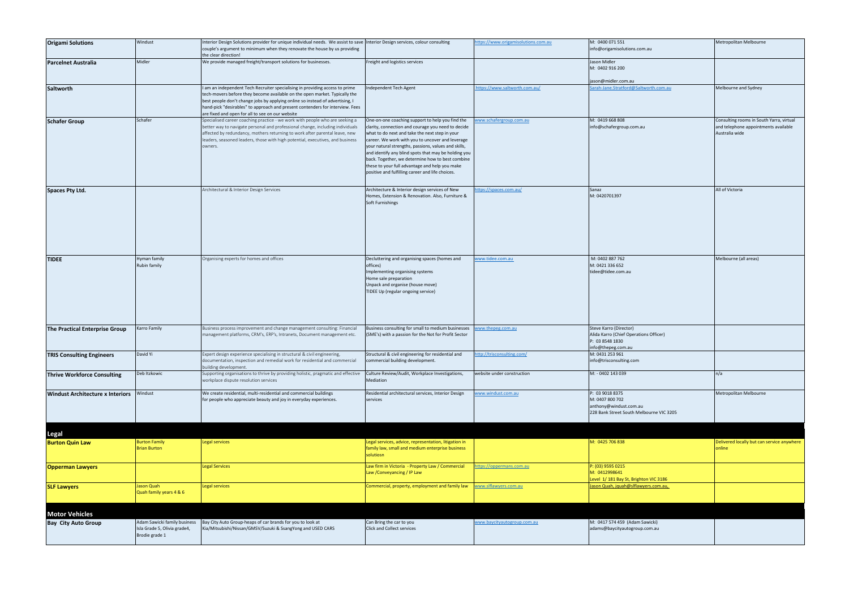| <b>Origami Solutions</b>                | Windust                                                                        | Interior Design Solutions provider for unique individual needs. We assist to save Interior Design services, colour consulting                                                                                                                                                                                                                                                    |                                                                                                                                                                                                                                                                                                                                                                                                                                                                                        | nttps://www.origamisolutions.com.au | M: 0400 071 551                                                                       | Metropolitan Melbourne                                                                             |
|-----------------------------------------|--------------------------------------------------------------------------------|----------------------------------------------------------------------------------------------------------------------------------------------------------------------------------------------------------------------------------------------------------------------------------------------------------------------------------------------------------------------------------|----------------------------------------------------------------------------------------------------------------------------------------------------------------------------------------------------------------------------------------------------------------------------------------------------------------------------------------------------------------------------------------------------------------------------------------------------------------------------------------|-------------------------------------|---------------------------------------------------------------------------------------|----------------------------------------------------------------------------------------------------|
|                                         |                                                                                | couple's argument to minimum when they renovate the house by us providing<br>the clear direction!                                                                                                                                                                                                                                                                                |                                                                                                                                                                                                                                                                                                                                                                                                                                                                                        |                                     | info@origamisolutions.com.au                                                          |                                                                                                    |
| <b>Parcelnet Australia</b>              | Midler                                                                         | We provide managed freight/transport solutions for businesses.                                                                                                                                                                                                                                                                                                                   | Freight and logistics services                                                                                                                                                                                                                                                                                                                                                                                                                                                         |                                     | Jason Midler                                                                          |                                                                                                    |
|                                         |                                                                                |                                                                                                                                                                                                                                                                                                                                                                                  |                                                                                                                                                                                                                                                                                                                                                                                                                                                                                        |                                     | M: 0402 916 200                                                                       |                                                                                                    |
|                                         |                                                                                |                                                                                                                                                                                                                                                                                                                                                                                  |                                                                                                                                                                                                                                                                                                                                                                                                                                                                                        |                                     | jason@midler.com.au                                                                   |                                                                                                    |
| Saltworth                               |                                                                                | I am an independent Tech Recruiter specialising in providing access to prime<br>tech-movers before they become available on the open market. Typically the<br>best people don't change jobs by applying online so instead of advertising, I<br>hand-pick "desirables" to approach and present contenders for interview. Fees<br>are fixed and open for all to see on our website | Independent Tech Agent                                                                                                                                                                                                                                                                                                                                                                                                                                                                 | ttps://www.saltworth.com.au/        | Sarah-Jane.Stratford@Saltworth.com.au                                                 | Melbourne and Sydney                                                                               |
| <b>Schafer Group</b>                    | Schafer                                                                        | Specialised career coaching practice - we work with people who are seeking a<br>better way to navigate personal and professional change, including individuals<br>affected by redundancy, mothers returning to work after parental leave, new<br>leaders, seasoned leaders, those with high potential, executives, and business<br>owners.                                       | One-on-one coaching support to help you find the<br>clarity, connection and courage you need to decide<br>what to do next and take the next step in your<br>career. We work with you to uncover and leverage<br>your natural strengths, passions, values and skills,<br>and identify any blind spots that may be holding you<br>back. Together, we determine how to best combine<br>these to your full advantage and help you make<br>positive and fulfilling career and life choices. | ww.schafergroup.com.au              | M: 0419 668 808<br>info@schafergroup.com.au                                           | Consulting rooms in South Yarra, virtual<br>and telephone appointments available<br>Australia wide |
|                                         |                                                                                |                                                                                                                                                                                                                                                                                                                                                                                  |                                                                                                                                                                                                                                                                                                                                                                                                                                                                                        | /ttps://spaces.com.au               | Sanaz                                                                                 | All of Victoria                                                                                    |
| <b>Spaces Pty Ltd.</b>                  |                                                                                | Architectural & Interior Design Services                                                                                                                                                                                                                                                                                                                                         | Architecture & Interior design services of New<br>Homes, Extension & Renovation. Also, Furniture &<br>Soft Furnishings                                                                                                                                                                                                                                                                                                                                                                 |                                     | M: 0420701397                                                                         |                                                                                                    |
| <b>TIDEE</b>                            | Hyman family<br>Rubin family                                                   | Organising experts for homes and offices                                                                                                                                                                                                                                                                                                                                         | Decluttering and organising spaces (homes and<br>offices)<br>Implementing organising systems<br>Home sale preparation<br>Unpack and organise (house move)<br>TIDEE Up (regular ongoing service)                                                                                                                                                                                                                                                                                        | ww.tidee.com.au                     | M: 0402 887 762<br>M: 0421 336 652<br>tidee@tidee.com.au                              | Melbourne (all areas)                                                                              |
| The Practical Enterprise Group          | Karro Family                                                                   | Business process improvement and change management consulting: Financial<br>management platforms, CRM's, ERP's, Intranets, Document management etc.                                                                                                                                                                                                                              | Business consulting for small to medium businesses<br>(SME's) with a passion for the Not for Profit Sector                                                                                                                                                                                                                                                                                                                                                                             | ww.thepeg.com.au                    | Steve Karro (Director)<br>Alida Karro (Chief Operations Officer)                      |                                                                                                    |
|                                         |                                                                                |                                                                                                                                                                                                                                                                                                                                                                                  |                                                                                                                                                                                                                                                                                                                                                                                                                                                                                        |                                     | P: 03 8548 1830                                                                       |                                                                                                    |
| <b>TRIS Consulting Engineers</b>        | David Yi                                                                       | Expert design experience specialising in structural & civil engineering,<br>documentation, inspection and remedial work for residential and commercial<br>building development.                                                                                                                                                                                                  | Structural & civil engineering for residential and<br>commercial building development.                                                                                                                                                                                                                                                                                                                                                                                                 | http://trisconsulting.com/          | info@thepeg.com.au<br>M: 0431 253 961<br>info@trisconsulting.com                      |                                                                                                    |
| <b>Thrive Workforce Consulting</b>      | Deb Itzkowic                                                                   | Supporting organisations to thrive by providing holistic, pragmatic and effective<br>workplace dispute resolution services                                                                                                                                                                                                                                                       | Culture Review/Audit, Workplace Investigations,<br>Mediation                                                                                                                                                                                                                                                                                                                                                                                                                           | website under construction          | M: - 0402 143 039                                                                     | n/a                                                                                                |
|                                         |                                                                                |                                                                                                                                                                                                                                                                                                                                                                                  |                                                                                                                                                                                                                                                                                                                                                                                                                                                                                        | www.windust.com.au                  | P: 03 9018 8375                                                                       | Metropolitan Melbourne                                                                             |
| <b>Windust Architecture x Interiors</b> | Windust                                                                        | We create residential, multi-residential and commercial buildings<br>for people who appreciate beauty and joy in everyday experiences.                                                                                                                                                                                                                                           | Residential architectural services, Interior Design<br>services                                                                                                                                                                                                                                                                                                                                                                                                                        |                                     | M: 0407 800 702<br>anthony@windust.com.au<br>228 Bank Street South Melbourne VIC 3205 |                                                                                                    |
| <b>Legal</b>                            |                                                                                |                                                                                                                                                                                                                                                                                                                                                                                  |                                                                                                                                                                                                                                                                                                                                                                                                                                                                                        |                                     |                                                                                       |                                                                                                    |
| <b>Burton Quin Law</b>                  | <b>Burton Family</b><br><b>Brian Burton</b>                                    | Legal services                                                                                                                                                                                                                                                                                                                                                                   | Legal services, advice, representation, litigation in<br>family law, small and medium enterprise business<br>solutiosn                                                                                                                                                                                                                                                                                                                                                                 |                                     | M: 0425 706 838                                                                       | Delivered locally but can service anywhere<br>online                                               |
| <b>Opperman Lawyers</b>                 |                                                                                | Legal Services                                                                                                                                                                                                                                                                                                                                                                   | Law firm in Victoria - Property Law / Commercial<br>Law / Conveyancing / IP Law                                                                                                                                                                                                                                                                                                                                                                                                        | ttps://oppermans.com.au             | P: (03) 9595 0215<br>M: 0412998641<br>Level 1/181 Bay St, Brighton VIC 3186           |                                                                                                    |
| <b>SLF Lawyers</b>                      | Jason Quah<br>Quah family years 4 & 6                                          | Legal services                                                                                                                                                                                                                                                                                                                                                                   | Commercial, property, employment and family law                                                                                                                                                                                                                                                                                                                                                                                                                                        | www.slflawyers.com.au               | Jason Quah, jquah@slflawyers.com.au,                                                  |                                                                                                    |
| <b>Motor Vehicles</b>                   |                                                                                |                                                                                                                                                                                                                                                                                                                                                                                  |                                                                                                                                                                                                                                                                                                                                                                                                                                                                                        |                                     |                                                                                       |                                                                                                    |
|                                         |                                                                                |                                                                                                                                                                                                                                                                                                                                                                                  |                                                                                                                                                                                                                                                                                                                                                                                                                                                                                        |                                     |                                                                                       |                                                                                                    |
| <b>Bay City Auto Group</b>              | Adam Sawicki family business<br>Isla Grade 5, Olivia grade4,<br>Brodie grade 1 | Bay City Auto Group-heaps of car brands for you to look at<br>Kia/Mitsubishi/Nissan/GMSV/Suzuki & SsangYong and USED CARS                                                                                                                                                                                                                                                        | Can Bring the car to you<br>Click and Collect services                                                                                                                                                                                                                                                                                                                                                                                                                                 | www.baycityautogroup.com.au         | M: 0417 574 459 (Adam Sawicki)<br>adams@baycityautogroup.com.au                       |                                                                                                    |
|                                         |                                                                                |                                                                                                                                                                                                                                                                                                                                                                                  |                                                                                                                                                                                                                                                                                                                                                                                                                                                                                        |                                     |                                                                                       |                                                                                                    |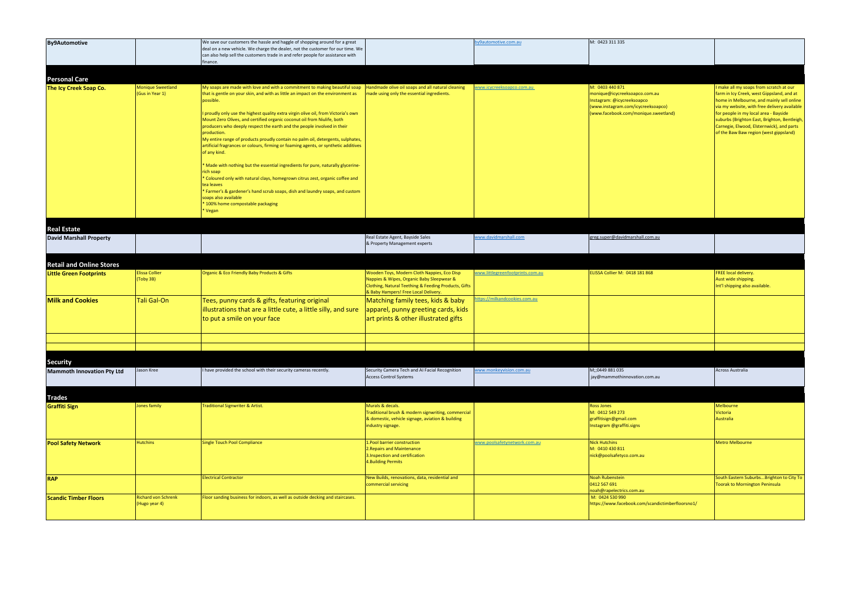| <b>By9Automotive</b>                           |                                             | We save our customers the hassle and haggle of shopping around for a great<br>deal on a new vehicle. We charge the dealer, not the customer for our time. We<br>can also help sell the customers trade in and refer people for assistance with<br>finance.                                                                                                                                                                                                                                                                                                                                                                                                                                                                                                                                                                                                                                                                                                                        |                                                                                                                                                                                          | by 9 automotive.com.au           | M: 0423 311 335                                                                                                                                              |                                                                                                                                                                                                                                                                                                                                                                   |
|------------------------------------------------|---------------------------------------------|-----------------------------------------------------------------------------------------------------------------------------------------------------------------------------------------------------------------------------------------------------------------------------------------------------------------------------------------------------------------------------------------------------------------------------------------------------------------------------------------------------------------------------------------------------------------------------------------------------------------------------------------------------------------------------------------------------------------------------------------------------------------------------------------------------------------------------------------------------------------------------------------------------------------------------------------------------------------------------------|------------------------------------------------------------------------------------------------------------------------------------------------------------------------------------------|----------------------------------|--------------------------------------------------------------------------------------------------------------------------------------------------------------|-------------------------------------------------------------------------------------------------------------------------------------------------------------------------------------------------------------------------------------------------------------------------------------------------------------------------------------------------------------------|
|                                                |                                             |                                                                                                                                                                                                                                                                                                                                                                                                                                                                                                                                                                                                                                                                                                                                                                                                                                                                                                                                                                                   |                                                                                                                                                                                          |                                  |                                                                                                                                                              |                                                                                                                                                                                                                                                                                                                                                                   |
| <b>Personal Care</b><br>The Icy Creek Soap Co. | <b>Monique Sweetland</b><br>(Gus in Year 1) | My soaps are made with love and with a commitment to making beautiful soap<br>that is gentle on your skin, and with as little an impact on the environment as<br>possible.<br>proudly only use the highest quality extra virgin olive oil, from Victoria's own<br>Mount Zero Olives, and certified organic coconut oil from Niulife, both<br>producers who deeply respect the earth and the people involved in their<br>production.<br>My entire range of products proudly contain no palm oil, detergents, sulphates,<br>artificial fragrances or colours, firming or foaming agents, or synthetic additives<br>of any kind.<br>* Made with nothing but the essential ingredients for pure, naturally glycerine-<br>rich soap<br>* Coloured only with natural clays, homegrown citrus zest, organic coffee and<br>tea leaves<br>* Farmer's & gardener's hand scrub soaps, dish and laundry soaps, and custom<br>soaps also available<br>100% home compostable packaging<br>Vegan | Handmade olive oil soaps and all natural cleaning<br>made using only the essential ingredients.                                                                                          | vww.icycreeksoapco.com.au        | M: 0403 440 871<br>monique@icycreeksoapco.com.au<br>Instagram: @icycreeksoapco<br>(www.instagram.com/icycreeksoapco)<br>(www.facebook.com/monique.sweetland) | I make all my soaps from scratch at our<br>farm in Icy Creek, west Gippsland, and at<br>home in Melbourne, and mainly sell online<br>via my website, with free delivery available<br>for people in my local area - Bayside<br>suburbs (Brighton East, Brighton, Bentleigh,<br>Carnegie, Elwood, Elsternwick), and parts<br>of the Baw Baw region (west gippsland) |
| <b>Real Estate</b>                             |                                             |                                                                                                                                                                                                                                                                                                                                                                                                                                                                                                                                                                                                                                                                                                                                                                                                                                                                                                                                                                                   |                                                                                                                                                                                          |                                  |                                                                                                                                                              |                                                                                                                                                                                                                                                                                                                                                                   |
| <b>David Marshall Property</b>                 |                                             |                                                                                                                                                                                                                                                                                                                                                                                                                                                                                                                                                                                                                                                                                                                                                                                                                                                                                                                                                                                   | Real Estate Agent, Bayside Sales<br>& Property Management experts                                                                                                                        | www.davidmarshall.com            | greg.super@davidmarshall.com.au                                                                                                                              |                                                                                                                                                                                                                                                                                                                                                                   |
| <b>Retail and Online Stores</b>                |                                             |                                                                                                                                                                                                                                                                                                                                                                                                                                                                                                                                                                                                                                                                                                                                                                                                                                                                                                                                                                                   |                                                                                                                                                                                          |                                  |                                                                                                                                                              |                                                                                                                                                                                                                                                                                                                                                                   |
| <b>Little Green Footprints</b>                 | <b>Elissa Collier</b><br>(Toby 3B)          | <b>Organic &amp; Eco Friendly Baby Products &amp; Gifts</b>                                                                                                                                                                                                                                                                                                                                                                                                                                                                                                                                                                                                                                                                                                                                                                                                                                                                                                                       | Wooden Toys, Modern Cloth Nappies, Eco Disp<br>Nappies & Wipes, Organic Baby Sleepwear &<br>Clothing, Natural Teething & Feeding Products, Gifts<br>& Baby Hampers! Free Local Delivery. | www.littlegreenfootprints.com.au | ELISSA Collier M: 0418 181 868                                                                                                                               | FREE local delivery.<br>Aust wide shipping.<br>Int'l shipping also available.                                                                                                                                                                                                                                                                                     |
| <b>Milk and Cookies</b>                        | Tali Gal-On                                 | Tees, punny cards & gifts, featuring original<br>illustrations that are a little cute, a little silly, and sure<br>to put a smile on your face                                                                                                                                                                                                                                                                                                                                                                                                                                                                                                                                                                                                                                                                                                                                                                                                                                    | Matching family tees, kids & baby<br>apparel, punny greeting cards, kids<br>art prints & other illustrated gifts                                                                         | ttps://milkandcookies.com.au     |                                                                                                                                                              |                                                                                                                                                                                                                                                                                                                                                                   |
|                                                |                                             |                                                                                                                                                                                                                                                                                                                                                                                                                                                                                                                                                                                                                                                                                                                                                                                                                                                                                                                                                                                   |                                                                                                                                                                                          |                                  |                                                                                                                                                              |                                                                                                                                                                                                                                                                                                                                                                   |
| <b>Security</b>                                |                                             |                                                                                                                                                                                                                                                                                                                                                                                                                                                                                                                                                                                                                                                                                                                                                                                                                                                                                                                                                                                   |                                                                                                                                                                                          |                                  |                                                                                                                                                              |                                                                                                                                                                                                                                                                                                                                                                   |
| <b>Mammoth Innovation Pty Ltd</b>              | Jason Kree                                  | have provided the school with their security cameras recently.                                                                                                                                                                                                                                                                                                                                                                                                                                                                                                                                                                                                                                                                                                                                                                                                                                                                                                                    | Security Camera Tech and AI Facial Recognition<br><b>Access Control Systems</b>                                                                                                          | www.monkeyvision.com.au          | M;;0449 881 035<br>jay@mammothinnovation.com.au                                                                                                              | Across Australia                                                                                                                                                                                                                                                                                                                                                  |
| <b>Trades</b>                                  |                                             |                                                                                                                                                                                                                                                                                                                                                                                                                                                                                                                                                                                                                                                                                                                                                                                                                                                                                                                                                                                   |                                                                                                                                                                                          |                                  |                                                                                                                                                              |                                                                                                                                                                                                                                                                                                                                                                   |
| <b>Graffiti Sign</b>                           | Jones family                                | Traditional Signwriter & Artist.                                                                                                                                                                                                                                                                                                                                                                                                                                                                                                                                                                                                                                                                                                                                                                                                                                                                                                                                                  | Murals & decals.<br>Fraditional brush & modern signwriting, commercial<br>& domestic, vehicle signage, aviation & building<br>industry signage.                                          |                                  | Ross Jones<br>M: 0412 549 273<br>graffitisign@gmail.com<br>Instagram @graffiti.signs                                                                         | Melbourne<br>Victoria<br><b>Australia</b>                                                                                                                                                                                                                                                                                                                         |
| <b>Pool Safety Network</b>                     | <b>Hutchins</b>                             | Single Touch Pool Compliance                                                                                                                                                                                                                                                                                                                                                                                                                                                                                                                                                                                                                                                                                                                                                                                                                                                                                                                                                      | .Pool barrier construction<br>2. Repairs and Maintenance<br>3. Inspection and certification<br>4. Building Permits                                                                       | www.poolsafetynetwork.com.au     | <b>Nick Hutchins</b><br>M: 0410 430 811<br>nick@poolsafetyco.com.au                                                                                          | <b>Metro Melbourne</b>                                                                                                                                                                                                                                                                                                                                            |
| <b>RAP</b>                                     |                                             | <b>Electrical Contractor</b>                                                                                                                                                                                                                                                                                                                                                                                                                                                                                                                                                                                                                                                                                                                                                                                                                                                                                                                                                      | New Builds, renovations, data, residential and<br>commercial servicing                                                                                                                   |                                  | <b>Noah Rubenstein</b><br>0412 567 691<br>noah@rapelectrics.com.au                                                                                           | South Eastern SuburbsBrighton to City To<br>Toorak to Mornington Peninsula                                                                                                                                                                                                                                                                                        |
| <b>Scandic Timber Floors</b>                   | <b>Richard von Schrenk</b><br>(Hugo year 4) | Floor sanding business for indoors, as well as outside decking and staircases.                                                                                                                                                                                                                                                                                                                                                                                                                                                                                                                                                                                                                                                                                                                                                                                                                                                                                                    |                                                                                                                                                                                          |                                  | M: 0424 530 990<br>https://www.facebook.com/scandictimberfloorsno1/                                                                                          |                                                                                                                                                                                                                                                                                                                                                                   |